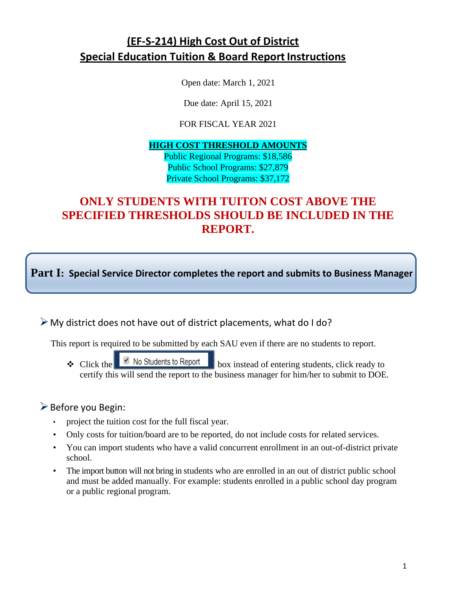# **(EF-S-214) High Cost Out of District Special Education Tuition & Board Report Instructions**

Open date: March 1, 2021

Due date: April 15, 2021

FOR FISCAL YEAR 2021

# **HIGH COST THRESHOLD AMOUNTS**

Public Regional Programs: \$18,586 Public School Programs: \$27,879 Private School Programs: \$37,172

# **ONLY STUDENTS WITH TUITON COST ABOVE THE SPECIFIED THRESHOLDS SHOULD BE INCLUDED IN THE REPORT.**

**Part I: Special Service Director completes the report and submits to Business Manager**

 $\triangleright$  My district does not have out of district placements, what do I do?

This report is required to be submitted by each SAU even if there are no students to report.

 $\triangle$  Click the  $\Box$  No Students to Report box instead of entering students, click ready to certify this will send the report to the business manager for him/her to submit to DOE.

# Before you Begin:

- project the tuition cost for the full fiscal year.
- Only costs for tuition/board are to be reported, do not include costs for related services.
- You can import students who have a valid concurrent enrollment in an out-of-district private school.
- The import button will not bring in students who are enrolled in an out of district public school and must be added manually. For example: students enrolled in a public school day program or a public regional program.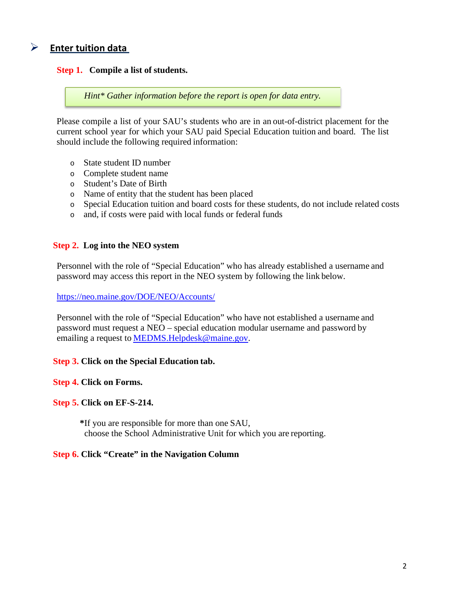# **Enter tuition data**

## **Step 1. Compile a list of students.**

*Hint\* Gather information before the report is open for data entry.*

Please compile a list of your SAU's students who are in an out-of-district placement for the current school year for which your SAU paid Special Education tuition and board. The list should include the following required information:

- o State student ID number
- o Complete student name
- o Student's Date of Birth
- o Name of entity that the student has been placed
- o Special Education tuition and board costs for these students, do not include related costs
- o and, if costs were paid with local funds or federal funds

### **Step 2. Log into the NEO system**

Personnel with the role of "Special Education" who has already established a username and password may access this report in the NEO system by following the link below.

#### <https://neo.maine.gov/DOE/NEO/Accounts/>

Personnel with the role of "Special Education" who have not established a username and password must request a NEO – special education modular username and password by emailing a request to [MEDMS.Helpdesk@maine.gov.](mailto:MEDMS.Helpdesk@maine.gov)

### **Step 3. Click on the Special Education tab.**

#### **Step 4. Click on Forms.**

## **Step 5. Click on EF-S-214.**

**\***If you are responsible for more than one SAU, choose the School Administrative Unit for which you are reporting.

#### **Step 6. Click "Create" in the Navigation Column**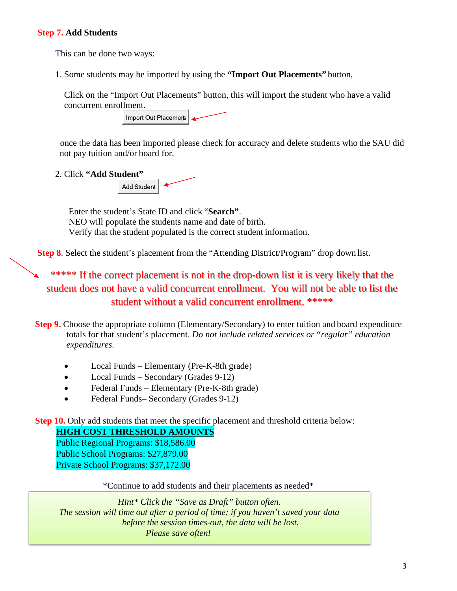## **Step 7. Add Students**

This can be done two ways:

1. Some students may be imported by using the **"Import Out Placements"** button,

Click on the "Import Out Placements" button, this will import the student who have a valid concurrent enrollment.



once the data has been imported please check for accuracy and delete students who the SAU did not pay tuition and/or board for.

2. Click **"Add Student"** Add Student

> Enter the student's State ID and click "**Search"**. NEO will populate the students name and date of birth. Verify that the student populated is the correct student information.

**Step 8.** Select the student's placement from the "Attending District/Program" drop down list.

\*\*\*\*\* If the correct placement is not in the drop-down list it is very likely that the student does not have a valid concurrent enrollment. You will not be able to list the student without a valid concurrent enrollment. \*\*\*\*\*

**Step 9.** Choose the appropriate column (Elementary/Secondary) to enter tuition and board expenditure totals for that student's placement. *Do not include related services or "regular" education expenditures.*

- Local Funds Elementary (Pre-K-8th grade)
- Local Funds Secondary (Grades 9-12)
- Federal Funds Elementary (Pre-K-8th grade)
- Federal Funds– Secondary (Grades 9-12)

**Step 10.** Only add students that meet the specific placement and threshold criteria below:

**HIGH COST THRESHOLD AMOUNTS**

Public Regional Programs: \$18,586.00 Public School Programs: \$27,879.00 Private School Programs: \$37,172.00

\*Continue to add students and their placements as needed\*

*Hint\* Click the "Save as Draft" button often. The session will time out after a period of time; if you haven't saved your data before the session times-out, the data will be lost. Please save often!*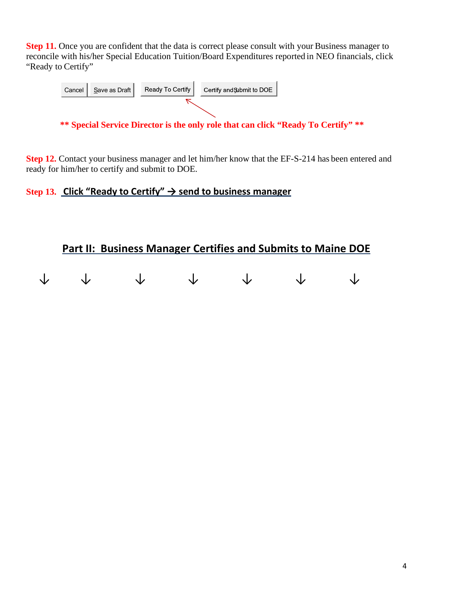**Step 11.** Once you are confident that the data is correct please consult with your Business manager to reconcile with his/her Special Education Tuition/Board Expenditures reported in NEO financials, click "Ready to Certify"



**\*\* Special Service Director is the only role that can click "Ready To Certify" \*\***

**Step 12.** Contact your business manager and let him/her know that the EF-S-214 has been entered and ready for him/her to certify and submit to DOE.

## **Step 13. Click "Ready to Certify" → send to business manager**

# **Part II: Business Manager Certifies and Submits to Maine DOE**

|  | $\begin{array}{ccccccccccccccccc} \downarrow & & \downarrow & & \downarrow & & \downarrow & & \downarrow & & \downarrow & & \downarrow \end{array}$ |  |  |
|--|-----------------------------------------------------------------------------------------------------------------------------------------------------|--|--|